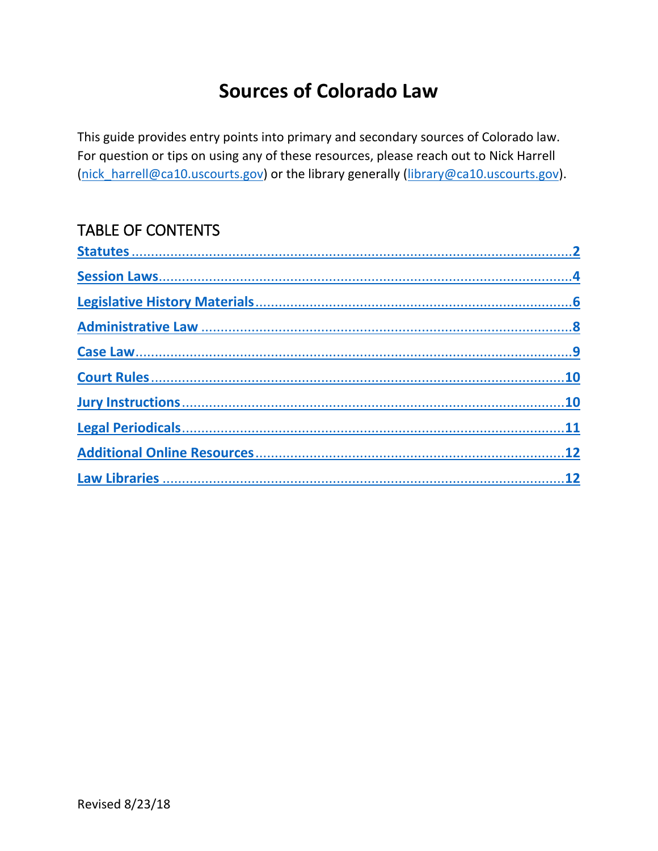# **Sources of Colorado Law**

<span id="page-0-0"></span>This guide provides entry points into primary and secondary sources of Colorado law. For question or tips on using any of these resources, please reach out to Nick Harrell (nick harrell@ca10.uscourts.gov) or the library generally (library@ca10.uscourts.gov).

## **TABLE OF CONTENTS**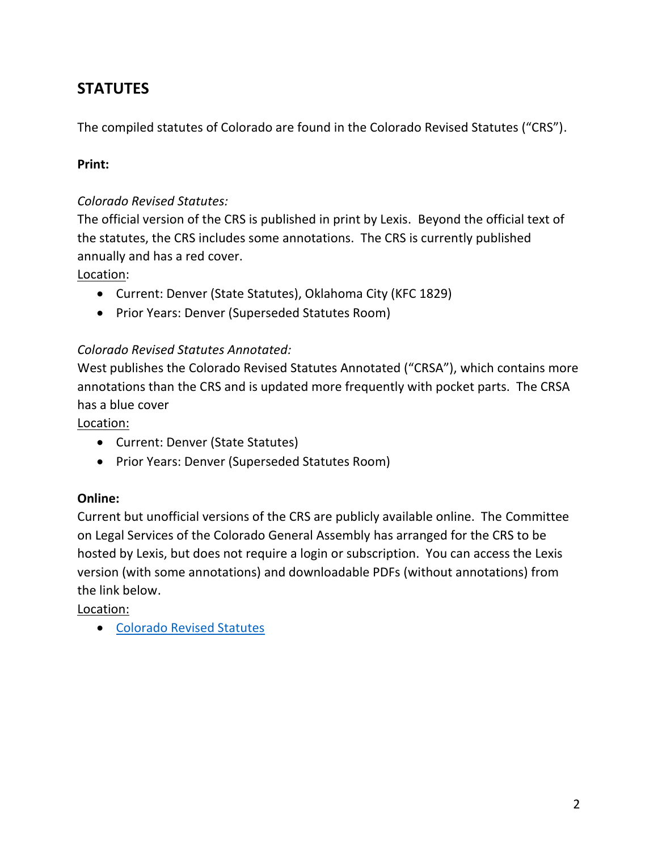## <span id="page-1-0"></span>**STATUTES**

The compiled statutes of Colorado are found in the Colorado Revised Statutes ("CRS").

#### **Print:**

#### *Colorado Revised Statutes:*

The official version of the CRS is published in print by Lexis. Beyond the official text of the statutes, the CRS includes some annotations. The CRS is currently published annually and has a red cover.

#### Location:

- Current: Denver (State Statutes), Oklahoma City (KFC 1829)
- Prior Years: Denver (Superseded Statutes Room)

#### *Colorado Revised Statutes Annotated:*

West publishes the Colorado Revised Statutes Annotated ("CRSA"), which contains more annotations than the CRS and is updated more frequently with pocket parts. The CRSA has a blue cover

Location:

- Current: Denver (State Statutes)
- Prior Years: Denver (Superseded Statutes Room)

#### **Online:**

Current but unofficial versions of the CRS are publicly available online. The Committee on Legal Services of the Colorado General Assembly has arranged for the CRS to be hosted by Lexis, but does not require a login or subscription. You can access the Lexis version (with some annotations) and downloadable PDFs (without annotations) from the link below.

Location:

• [Colorado Revised Statutes](https://leg.colorado.gov/agencies/office-legislative-legal-services/colorado-revised-statutes)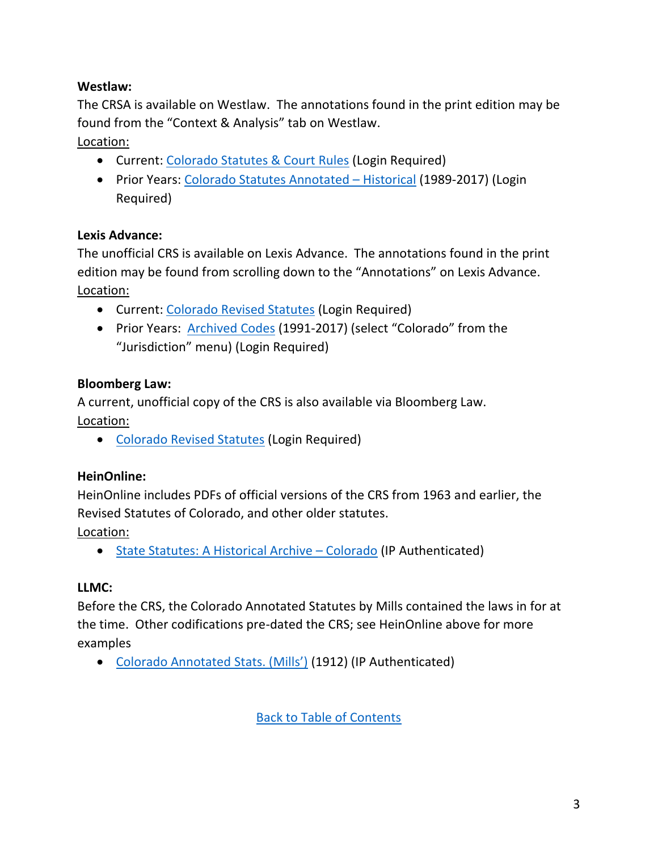## **Westlaw:**

The CRSA is available on Westlaw. The annotations found in the print edition may be found from the "Context & Analysis" tab on Westlaw.

Location:

- Current: [Colorado Statutes & Court Rules](https://www.westlaw.com/Browse/Home/StatutesCourtRules/ColoradoStatutesCourtRules?contextData=(sc.Default)&transitionType=Default&VR=3.0&RS=cblt1.0) (Login Required)
- Prior Years: [Colorado Statutes Annotated](https://www.westlaw.com/Browse/Home/StatutesCourtRules/HistoricalStatutes/ColoradoStatutesAnnotatedHistorical?contextData=(sc.Default)&transitionType=Default&VR=3.0&RS=cblt1.0)  Historical (1989-2017) (Login Required)

### **Lexis Advance:**

The unofficial CRS is available on Lexis Advance. The annotations found in the print edition may be found from scrolling down to the "Annotations" on Lexis Advance. Location:

- Current: [Colorado Revised Statutes](https://advance.lexis.com/api/permalink/b101d2b1-d5a9-4a3b-b7f7-514f8364d302/?context=1000516) (Login Required)
- Prior Years: [Archived Codes](https://advance.lexis.com/searcharchivedcodes?crid=dcc5f2ba-3017-463e-996b-74cf14b4fcb1) (1991-2017) (select "Colorado" from the "Jurisdiction" menu) (Login Required)

## **Bloomberg Law:**

A current, unofficial copy of the CRS is also available via Bloomberg Law. Location:

• [Colorado Revised Statutes](https://www.bloomberglaw.com/product/blaw/toc/source/105.102731/1226) (Login Required)

## **HeinOnline:**

HeinOnline includes PDFs of official versions of the CRS from 1963 and earlier, the Revised Statutes of Colorado, and other older statutes.

Location:

• [State Statutes: A Historical Archive](https://www.heinonline.org/HOL/Index?index=sstatutes/state70118&collection=sstatutes) – Colorado (IP Authenticated)

## **LLMC:**

Before the CRS, the Colorado Annotated Statutes by Mills contained the laws in for at the time. Other codifications pre-dated the CRS; see HeinOnline above for more examples

• [Colorado Annotated Stats. \(Mills'\)](http://www.llmc.com/titledescfull.aspx?type=6&coll=9&div=34&set=99995) (1912) (IP Authenticated)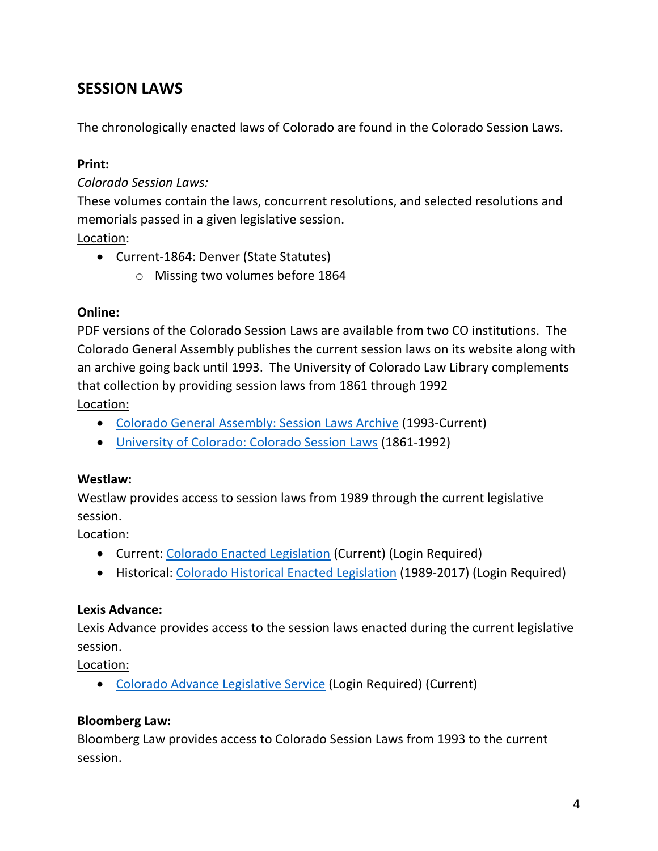## <span id="page-3-0"></span>**SESSION LAWS**

The chronologically enacted laws of Colorado are found in the Colorado Session Laws.

#### **Print:**

#### *Colorado Session Laws:*

These volumes contain the laws, concurrent resolutions, and selected resolutions and memorials passed in a given legislative session.

Location:

- Current-1864: Denver (State Statutes)
	- o Missing two volumes before 1864

#### **Online:**

PDF versions of the Colorado Session Laws are available from two CO institutions. The Colorado General Assembly publishes the current session laws on its website along with an archive going back until 1993. The University of Colorado Law Library complements that collection by providing session laws from 1861 through 1992

Location:

- [Colorado General Assembly: Session Laws Archive](https://leg.colorado.gov/agencies/office-legislative-legal-services/session-laws-archive) (1993-Current)
- [University of Colorado: Colorado Session Laws](http://lawcollections.colorado.edu/colorado-session-laws/) (1861-1992)

#### **Westlaw:**

Westlaw provides access to session laws from 1989 through the current legislative session.

Location:

- Current: [Colorado Enacted Legislation](https://www.westlaw.com/Browse/Home/ProposedEnactedLegislation/ColoradoProposedEnactedLegislation/ColoradoEnactedLegislationSessionLaws?contextData=(sc.Default)&transitionType=Default&VR=3.0&RS=cblt1.0) (Current) (Login Required)
- Historical: [Colorado Historical Enacted Legislation](https://www.westlaw.com/Browse/Home/ProposedEnactedLegislation/HistoricalEnactedLegislationSessionLaws/ColoradoHistoricalEnactedLegislationSessionLaws?contextData=(sc.Default)&transitionType=Default&VR=3.0&RS=cblt1.0) (1989-2017) (Login Required)

#### **Lexis Advance:**

Lexis Advance provides access to the session laws enacted during the current legislative session.

Location:

• [Colorado Advance Legislative Service](https://advance.lexis.com/api/permalink/60d27207-23d9-4af8-bba2-ea9516ee1308/?context=1000516) (Login Required) (Current)

#### **Bloomberg Law:**

Bloomberg Law provides access to Colorado Session Laws from 1993 to the current session.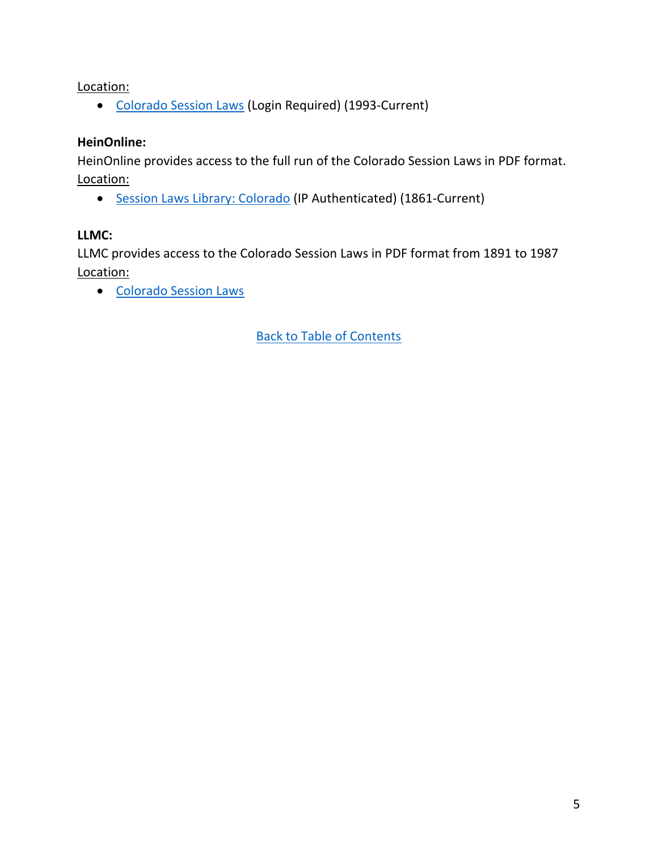Location:

• [Colorado Session Laws](https://www.bloomberglaw.com/p/402ea5c99f32885df5695480adeb7b1b/content_menu/105.525240) (Login Required) (1993-Current)

#### **HeinOnline:**

HeinOnline provides access to the full run of the Colorado Session Laws in PDF format. Location:

• [Session Laws Library: Colorado](https://www.heinonline.org/HOL/Index?index=ssl/ssco&collection=ssl) (IP Authenticated) (1861-Current)

### **LLMC:**

LLMC provides access to the Colorado Session Laws in PDF format from 1891 to 1987 Location:

• [Colorado Session Laws](http://www.llmc.com/titledescfull.aspx?type=6&coll=9&div=34&set=99889)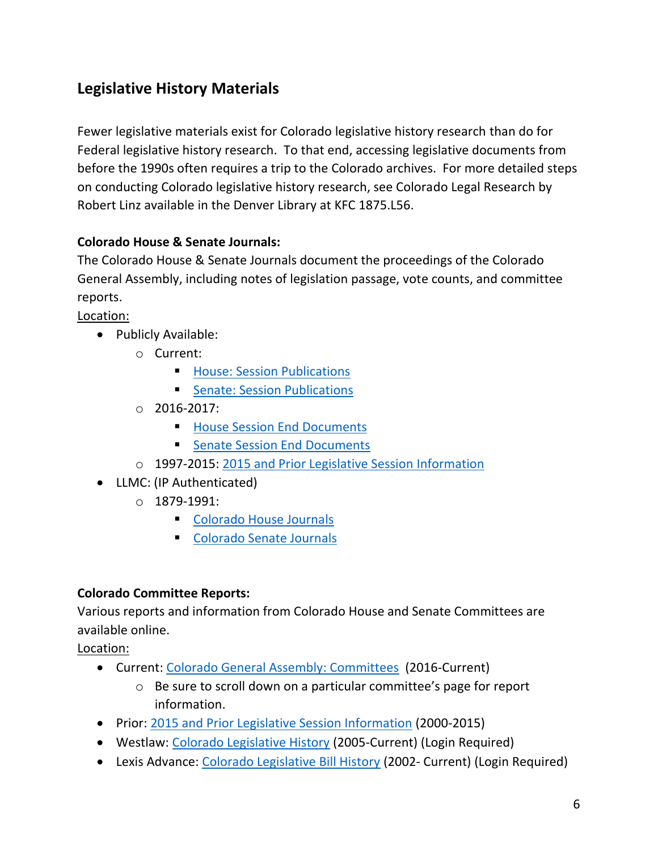## <span id="page-5-0"></span>**Legislative History Materials**

Fewer legislative materials exist for Colorado legislative history research than do for Federal legislative history research. To that end, accessing legislative documents from before the 1990s often requires a trip to the Colorado archives. For more detailed steps on conducting Colorado legislative history research, see Colorado Legal Research by Robert Linz available in the Denver Library at KFC 1875.L56.

## **Colorado House & Senate Journals:**

The Colorado House & Senate Journals document the proceedings of the Colorado General Assembly, including notes of legislation passage, vote counts, and committee reports.

Location:

- Publicly Available:
	- o Current:
		- **E** [House: Session Publications](https://leg.colorado.gov/agencies/house-representatives/session-publications)
		- **Exercise: Session Publications**
	- $O$  2016-2017:
		- [House Session End Documents](https://leg.colorado.gov/agencies/house-representatives/house-session-end-documents)
		- [Senate Session End Documents](https://leg.colorado.gov/agencies/senate/senate-session-end-documents)
	- o 1997-2015: [2015 and Prior Legislative Session Information](http://www.leg.state.co.us/clics/cslFrontPages.nsf/PrevSessionInfo?openForm)
- LLMC: (IP Authenticated)
	- o 1879-1991:
		- [Colorado House Journals](http://www.llmc.com/titledescfull.aspx?type=6&coll=9&div=34&set=40747)
		- [Colorado Senate Journals](http://www.llmc.com/titledescfull.aspx?type=6&coll=9&div=34&set=40748)

#### **Colorado Committee Reports:**

Various reports and information from Colorado House and Senate Committees are available online.

Location:

- Current: [Colorado General Assembly: Committees](https://leg.colorado.gov/content/committees) (2016-Current)
	- o Be sure to scroll down on a particular committee's page for report information.
- Prior: [2015 and Prior Legislative Session Information](http://www.leg.state.co.us/clics/cslFrontPages.nsf/PrevSessionInfo?OpenForm) (2000-2015)
- Westlaw: [Colorado Legislative History](https://www.westlaw.com/Browse/Home/LegislativeHistory/ColoradoLegislativeHistory?contextData=(sc.Default)&transitionType=Default&VR=3.0&RS=cblt1.0) (2005-Current) (Login Required)
- Lexis Advance: [Colorado Legislative Bill History](https://advance.lexis.com/api/permalink/62c9ba8a-4c08-43bc-ab31-a3d9e65fd42f/?context=1000516) (2002- Current) (Login Required)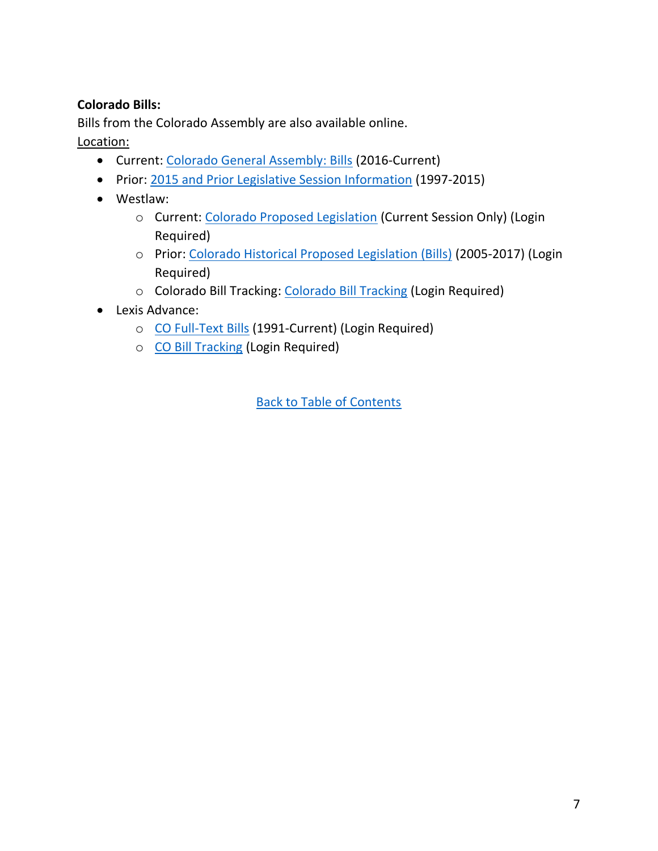## **Colorado Bills:**

Bills from the Colorado Assembly are also available online.

Location:

- Current: [Colorado General Assembly: Bills](https://leg.colorado.gov/bill-search?field_sessions=10171&sort_bef_combine=field_bill_number%20ASC) (2016-Current)
- Prior: [2015 and Prior Legislative Session Information](http://www.leg.state.co.us/clics/cslFrontPages.nsf/PrevSessionInfo?OpenForm) (1997-2015)
- Westlaw:
	- o Current: [Colorado Proposed Legislation](https://www.westlaw.com/Browse/Home/ProposedEnactedLegislation/ColoradoProposedEnactedLegislation/ColoradoProposedLegislationBills?contextData=(sc.Default)&transitionType=Default&VR=3.0&RS=cblt1.0) (Current Session Only) (Login Required)
	- o Prior: [Colorado Historical Proposed Legislation \(Bills\)](https://www.westlaw.com/Browse/Home/ProposedEnactedLegislation/HistoricalProposedLegislationBills/ColoradoHistoricalProposedLegislationBills?contextData=(sc.Default)&transitionType=Default&VR=3.0&RS=cblt1.0) (2005-2017) (Login Required)
	- o Colorado Bill Tracking: [Colorado Bill Tracking](https://www.westlaw.com/Browse/Home/StatutesCourtRules/BillTracking/ColoradoBillTracking?contextData=(sc.Default)&transitionType=Default&VR=3.0&RS=cblt1.0) (Login Required)
- Lexis Advance:
	- o [CO Full-Text Bills](https://advance.lexis.com/api/permalink/b8311588-8daf-4bc7-9e80-1b8323612317/?context=1000516) (1991-Current) (Login Required)
	- o [CO Bill Tracking](https://advance.lexis.com/api/permalink/699fcb93-8e2d-49be-a826-a4dcfeeca494/?context=1000516) (Login Required)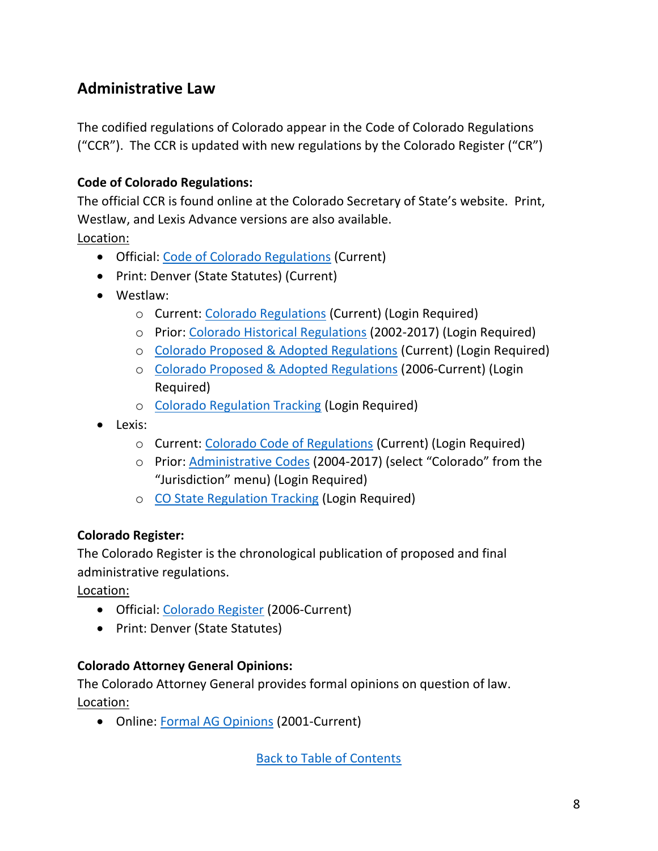## <span id="page-7-0"></span>**Administrative Law**

The codified regulations of Colorado appear in the Code of Colorado Regulations ("CCR"). The CCR is updated with new regulations by the Colorado Register ("CR")

## **Code of Colorado Regulations:**

The official CCR is found online at the Colorado Secretary of State's website. Print, Westlaw, and Lexis Advance versions are also available.

Location:

- Official: [Code of Colorado Regulations](https://www.sos.state.co.us/CCR/Welcome.do) (Current)
- Print: Denver (State Statutes) (Current)
- Westlaw:
	- o Current: [Colorado Regulations](https://www.westlaw.com/Browse/Home/Regulations/ColoradoRegulations?contextData=(sc.Default)&transitionType=Default&VR=3.0&RS=cblt1.0) (Current) (Login Required)
	- o Prior: [Colorado Historical Regulations](https://www.westlaw.com/Browse/Home/Regulations/HistoricalRegulations/ColoradoHistoricalRegulations?contextData=(sc.Default)&transitionType=Default&VR=3.0&RS=cblt1.0) (2002-2017) (Login Required)
	- o [Colorado Proposed & Adopted Regulations](https://www.westlaw.com/Browse/Home/ProposedAdoptedRegulationsCurrent/ColoradoProposedAdoptedRegulationsCurrent?contextData=(sc.Default)&transitionType=Default&VR=3.0&RS=cblt1.0) (Current) (Login Required)
	- o [Colorado Proposed & Adopted Regulations](https://www.westlaw.com/Browse/Home/ProposedAdoptedRegulationsCurrent/ProposedAdoptedRegulationsAll/ColoradoProposedAdoptedRegulationsAll?contextData=(sc.Default)&transitionType=Default&VR=3.0&RS=cblt1.0) (2006-Current) (Login Required)
	- o [Colorado Regulation Tracking](https://www.westlaw.com/Browse/Home/Regulations/RegulationTracking/ColoradoRegulationTracking?contextData=(sc.Default)&transitionType=Default&VR=3.0&RS=cblt1.0) (Login Required)
- Lexis:
	- o Current: [Colorado Code of Regulations](https://advance.lexis.com/api/permalink/63d59372-6bc9-4aea-8a69-04317a1153ba/?context=1000516) (Current) (Login Required)
	- o Prior: [Administrative Codes](https://advance.lexis.com/searcharchivedcodes?crid=dcc5f2ba-3017-463e-996b-74cf14b4fcb1&aci=la&cbc=0&lnsi=dda1af00-db94-4fb5-bf88-9847a6c27506&rmflag=0&sit=1534970053046.655) (2004-2017) (select "Colorado" from the "Jurisdiction" menu) (Login Required)
	- o [CO State Regulation Tracking](https://advance.lexis.com/api/permalink/9f3b608d-f9d6-439b-90f6-2ee763d65dee/?context=1000516) (Login Required)

## **Colorado Register:**

The Colorado Register is the chronological publication of proposed and final administrative regulations.

Location:

- Official: [Colorado Register](https://www.sos.state.co.us/CCR/RegisterHome.do) (2006-Current)
- Print: Denver (State Statutes)

## **Colorado Attorney General Opinions:**

The Colorado Attorney General provides formal opinions on question of law.

Location:

• Online: [Formal AG Opinions](https://coag.gov/resources/formal-ag-opinions) (2001-Current)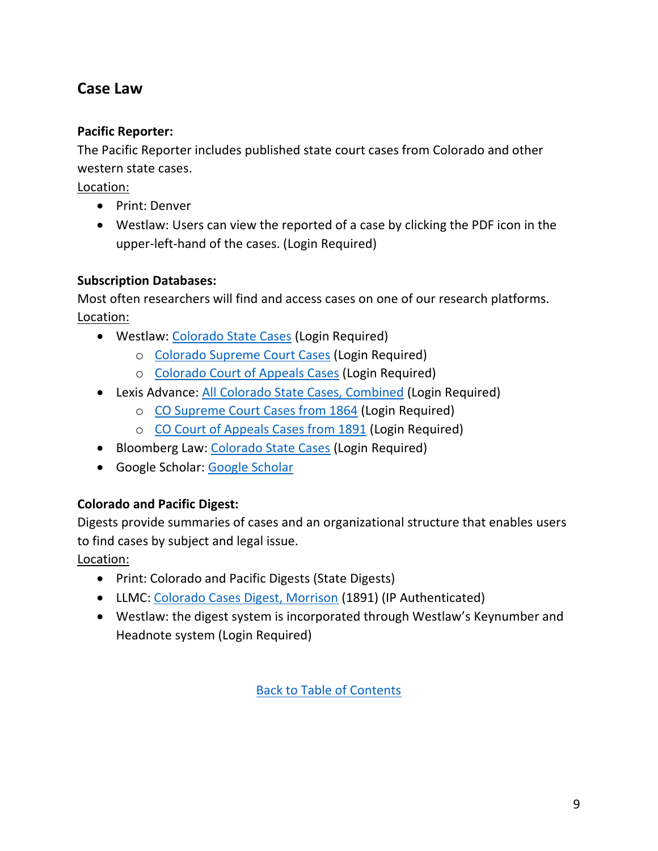## <span id="page-8-0"></span>**Case Law**

## **Pacific Reporter:**

The Pacific Reporter includes published state court cases from Colorado and other western state cases.

Location:

- Print: Denver
- Westlaw: Users can view the reported of a case by clicking the PDF icon in the upper-left-hand of the cases. (Login Required)

## **Subscription Databases:**

Most often researchers will find and access cases on one of our research platforms. Location:

- Westlaw: [Colorado State Cases](https://www.westlaw.com/Browse/Home/Cases/ColoradoStateFederalCases/ColoradoStateCases?contextData=(sc.Default)&transitionType=Default&VR=3.0&RS=cblt1.0) (Login Required)
	- o [Colorado Supreme Court Cases](https://www.westlaw.com/Browse/Home/Cases/ColoradoStateFederalCases/ColoradoStateCases/ColoradoSupremeCourtCases?contextData=(sc.Default)&transitionType=Default&VR=3.0&RS=cblt1.0) (Login Required)
	- o [Colorado Court of Appeals Cases](https://www.westlaw.com/Browse/Home/Cases/ColoradoStateFederalCases/ColoradoStateCases/ColoradoCourtofAppealsCases?contextData=(sc.Default)&transitionType=Default&VR=3.0&RS=cblt1.0) (Login Required)
- Lexis Advance: [All Colorado State Cases, Combined](https://advance.lexis.com/api/permalink/eb8a9660-980b-4f99-b983-72fa14bee12a/?context=1000516) (Login Required)
	- o [CO Supreme Court Cases from 1864](https://advance.lexis.com/api/permalink/6cb4a437-0810-42b8-b206-1ad8bfcf694a/?context=1000516) (Login Required)
	- o [CO Court of Appeals Cases from 1891](https://advance.lexis.com/api/permalink/01b9a594-df15-423e-946d-839703802cd3/?context=1000516) (Login Required)
- Bloomberg Law: [Colorado State Cases](https://www.bloomberglaw.com/product/blaw/search/results/f577f0d49dd7a2e61fdbca49d2e58ca9) (Login Required)
- Google Scholar: [Google Scholar](https://scholar.google.com/)

## **Colorado and Pacific Digest:**

Digests provide summaries of cases and an organizational structure that enables users to find cases by subject and legal issue.

Location:

- Print: Colorado and Pacific Digests (State Digests)
- LLMC: [Colorado Cases Digest, Morrison](http://www.llmc.com/searchResultVolumes2.aspx?ext=true&catalogset=99800) (1891) (IP Authenticated)
- Westlaw: the digest system is incorporated through Westlaw's Keynumber and Headnote system (Login Required)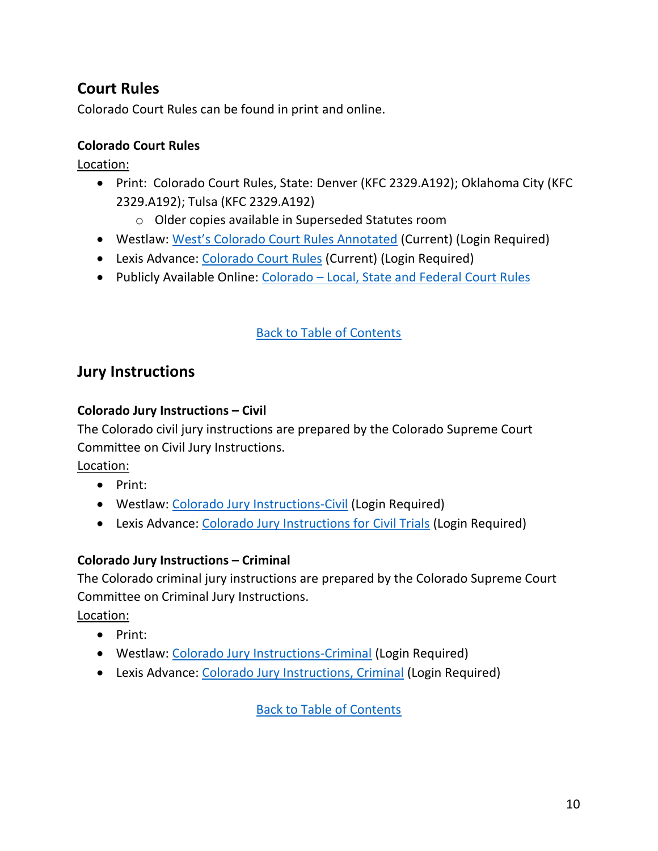## <span id="page-9-0"></span>**Court Rules**

Colorado Court Rules can be found in print and online.

### **Colorado Court Rules**

Location:

- Print: Colorado Court Rules, State: Denver (KFC 2329.A192); Oklahoma City (KFC 2329.A192); Tulsa (KFC 2329.A192)
	- o Older copies available in Superseded Statutes room
- Westlaw: [West's Colorado Court Rules Annotated](https://www.westlaw.com/Browse/Home/StatutesCourtRules/ColoradoStatutesCourtRules?guid=N02FE6CC0D88511DBA93CE8A0BD96DE4A&contextData=(sc.Default)&transitionType=Default&VR=3.0&RS=cblt1.0) (Current) (Login Required)
- Lexis Advance: [Colorado Court Rules](https://advance.lexis.com/api/permalink/49daa84e-6706-4409-a5c7-3833be1fb0ff/?context=1000516) (Current) (Login Required)
- Publicly Available Online: Colorado [Local, State and Federal Court Rules](https://advance.lexis.com/container?config=00JABiMzRkN2Q5Ny1iMGZiLTQwYWYtOGEyMC0xNGIyNDAyMTViOTcKAFBvZENhdGFsb2dTqXrsE3Hsqu82D2r8ESV5&crid=94336635-3c2c-4aa6-bbd6-4cf0d340cf02)

## [Back to Table of Contents](#page-0-0)

## **Jury Instructions**

#### **Colorado Jury Instructions – Civil**

The Colorado civil jury instructions are prepared by the Colorado Supreme Court Committee on Civil Jury Instructions.

Location:

- Print:
- Westlaw: [Colorado Jury Instructions-Civil](https://www.westlaw.com/Browse/Home/SecondarySources/ColoradoSecondarySources/ColoradoJuryInstructionsCivil?contextData=(sc.Default)&transitionType=Default&VR=3.0&RS=cblt1.0) (Login Required)
- Lexis Advance: [Colorado Jury Instructions for Civil Trials](https://advance.lexis.com/api/permalink/aa58565f-229e-4e24-ba1b-62067cae5553/?context=1000516) (Login Required)

#### **Colorado Jury Instructions – Criminal**

The Colorado criminal jury instructions are prepared by the Colorado Supreme Court Committee on Criminal Jury Instructions.

Location:

- Print:
- Westlaw: [Colorado Jury Instructions-Criminal](https://www.westlaw.com/Browse/Home/SecondarySources/ColoradoSecondarySources/ColoradoJuryInstructionsCriminal?contextData=(sc.Default)&transitionType=Default&VR=3.0&RS=cblt1.0) (Login Required)
- Lexis Advance: [Colorado Jury Instructions, Criminal](https://advance.lexis.com/api/permalink/c5fbaf32-baeb-4876-82b2-fd5540776315/?context=1000516) (Login Required)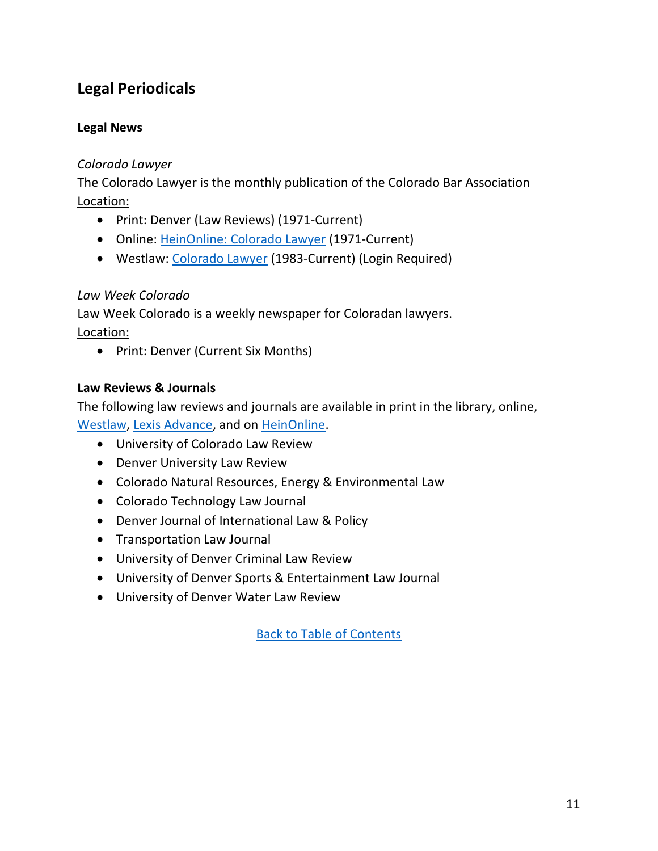## <span id="page-10-0"></span>**Legal Periodicals**

### **Legal News**

#### *Colorado Lawyer*

The Colorado Lawyer is the monthly publication of the Colorado Bar Association Location:

- Print: Denver (Law Reviews) (1971-Current)
- Online: [HeinOnline: Colorado Lawyer](https://www.heinonline.org/HOL/Index?index=barjournals/cololaw&collection=barjournals) (1971-Current)
- Westlaw: [Colorado Lawyer](https://www.westlaw.com/Browse/Home/SecondarySources/LawReviewsJournals/ColoradoLawReviewsJournals/ColoradoLawyer?contextData=(sc.Default)&transitionType=Default&VR=3.0&RS=cblt1.0) (1983-Current) (Login Required)

## *Law Week Colorado*

Law Week Colorado is a weekly newspaper for Coloradan lawyers. Location:

• Print: Denver (Current Six Months)

### **Law Reviews & Journals**

The following law reviews and journals are available in print in the library, online, [Westlaw, Lexis Advance,](https://www.westlaw.com/Browse/Home/SecondarySources/SecondarySourcesLibrary?contextData=(sc.Default)&transitionType=Default&VR=3.0&RS=cblt1.0) and on [HeinOnline.](https://www.heinonline.org/HOL/Index?index=journals/state3079&collection=journals)

- University of Colorado Law Review
- Denver University Law Review
- Colorado Natural Resources, Energy & Environmental Law
- Colorado Technology Law Journal
- Denver Journal of International Law & Policy
- Transportation Law Journal
- University of Denver Criminal Law Review
- University of Denver Sports & Entertainment Law Journal
- University of Denver Water Law Review